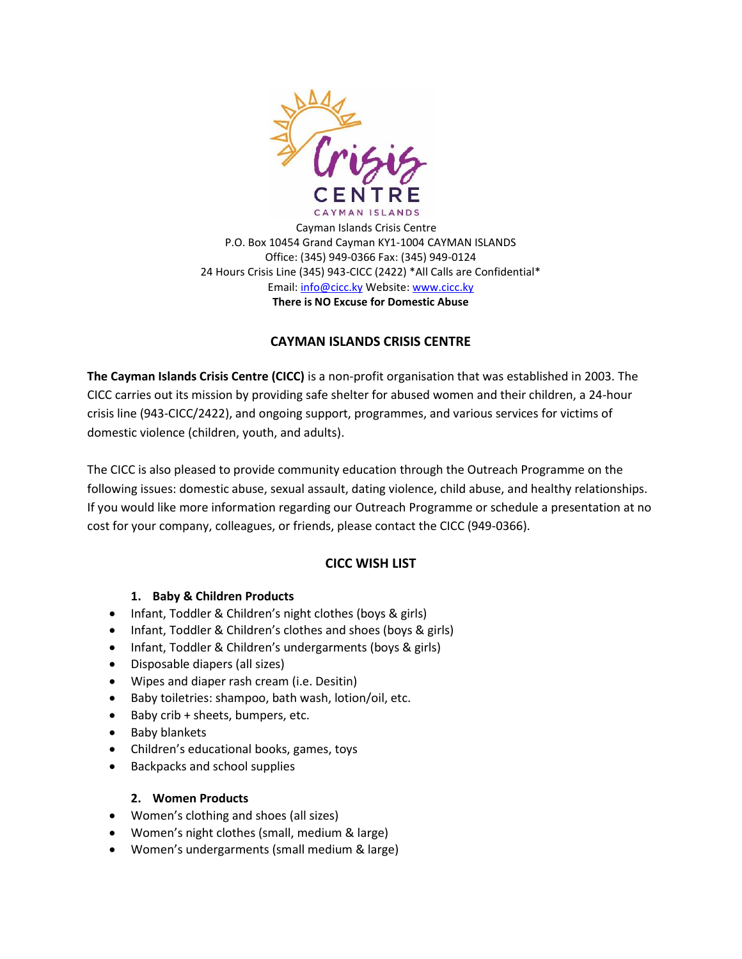

Cayman Islands Crisis Centre P.O. Box 10454 Grand Cayman KY1-1004 CAYMAN ISLANDS Office: (345) 949-0366 Fax: (345) 949-0124 24 Hours Crisis Line (345) 943-CICC (2422) \*All Calls are Confidential\* Email: [info@cicc.ky](mailto:info@cicc.ky) Website[: www.cicc.ky](http://www.cicc.ky/) **There is NO Excuse for Domestic Abuse**

## **CAYMAN ISLANDS CRISIS CENTRE**

**The Cayman Islands Crisis Centre (CICC)** is a non-profit organisation that was established in 2003. The CICC carries out its mission by providing safe shelter for abused women and their children, a 24-hour crisis line (943-CICC/2422), and ongoing support, programmes, and various services for victims of domestic violence (children, youth, and adults).

The CICC is also pleased to provide community education through the Outreach Programme on the following issues: domestic abuse, sexual assault, dating violence, child abuse, and healthy relationships. If you would like more information regarding our Outreach Programme or schedule a presentation at no cost for your company, colleagues, or friends, please contact the CICC (949-0366).

# **CICC WISH LIST**

### **1. Baby & Children Products**

- Infant, Toddler & Children's night clothes (boys & girls)
- Infant, Toddler & Children's clothes and shoes (boys & girls)
- Infant, Toddler & Children's undergarments (boys & girls)
- Disposable diapers (all sizes)
- Wipes and diaper rash cream (i.e. Desitin)
- Baby toiletries: shampoo, bath wash, lotion/oil, etc.
- Baby crib + sheets, bumpers, etc.
- Baby blankets
- Children's educational books, games, toys
- Backpacks and school supplies

#### **2. Women Products**

- Women's clothing and shoes (all sizes)
- Women's night clothes (small, medium & large)
- Women's undergarments (small medium & large)